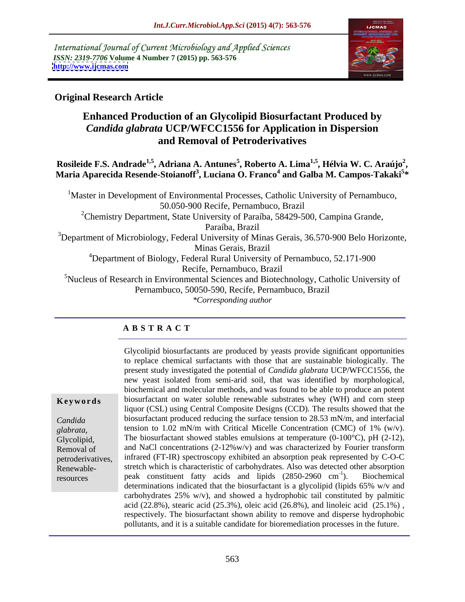International Journal of Current Microbiology and Applied Sciences *ISSN: 2319-7706* **Volume 4 Number 7 (2015) pp. 563-576 <http://www.ijcmas.com>**



### **Original Research Article**

## **Enhanced Production of an Glycolipid Biosurfactant Produced by**  *Candida glabrata* **UCP/WFCC1556 for Application in Dispersion and Removal of Petroderivatives**

**Rosileide F.S. Andrade1,5, Adriana A. Antunes5 , Roberto A. Lima1,5, Hélvia W. C. Araújo2** Rosileide F.S. Andrade<sup>1,5</sup>, Adriana A. Antunes<sup>5</sup>, Roberto A. Lima<sup>1,5</sup>, Hélvia W. C. Araújo<sup>2</sup>,<br>Maria Aparecida Resende-Stoianoff<sup>3</sup>, Luciana O. Franco<sup>4</sup> and Galba M. Campos-Takaki<sup>5</sup>\* **\***

<sup>1</sup>Master in Development of Environmental Processes, Catholic University of Pernambuco, 50.050-900 Recife, Pernambuco, Brazil <sup>2</sup>Chemistry Department, State University of Paraíba, 58429-500, Campina Grande, Paraíba, Brazil  $3$ Department of Microbiology, Federal University of Minas Gerais, 36.570-900 Belo Horizonte, Minas Gerais, Brazil <sup>4</sup>Department of Biology, Federal Rural University of Pernambuco, 52.171-900 Recife, Pernambuco, Brazil <sup>5</sup>Nucleus of Research in Environmental Sciences and Biotechnology, Catholic University of Pernambuco, 50050-590, Recife, Pernambuco, Brazil *\*Corresponding author*

### **A B S T R A C T**

Renewableresources

Glycolipid biosurfactants are produced by yeasts provide significant opportunities to replace chemical surfactants with those that are sustainable biologically. The present study investigated the potential of *Candida glabrata* UCP/WFCC1556, the new yeast isolated from semi-arid soil, that was identified by morphological, biochemical and molecular methods, and was found to be able to produce an potent **Keywords** biosurfactant on water soluble renewable substrates whey (WH) and corn steep liquor (CSL) using Central Composite Designs (CCD). The results showed that the biosurfactant produced reducing the surface tension to 28.53 mN/m, and interfacial *Candida*  tension to 1.02 mN/m with Critical Micelle Concentration (CMC) of 1% (w/v). glabrata, tension to 1.02 mN/m with Critical Micelle Concentration (CMC) of 1% (w/v).<br> **Glycolipid,** The biosurfactant showed stables emulsions at temperature (0-100°C), pH (2-12), Removal of and NaCl concentrations (2-12%w/v) and was characterized by Fourier transform infrared (FT-IR) spectroscopy exhibited an absorption peak represented by C-O-C petroderivatives, stretch which is characteristic of carbohydrates. Also was detected other absorption peak constituent fatty acids and lipids (2850-2960 cm  $^{-1}$  Diochamical ). Biochemical determinations indicated that the biosurfactant is a glycolipid (lipids 65% w/v and carbohydrates 25% w/v), and showed a hydrophobic tail constituted by palmitic acid (22.8%), stearic acid (25.3%), oleic acid (26.8%), and linoleic acid (25.1%) , respectively. The biosurfactant shown ability to remove and disperse hydrophobic pollutants, and it is a suitable candidate for bioremediation processes in the future.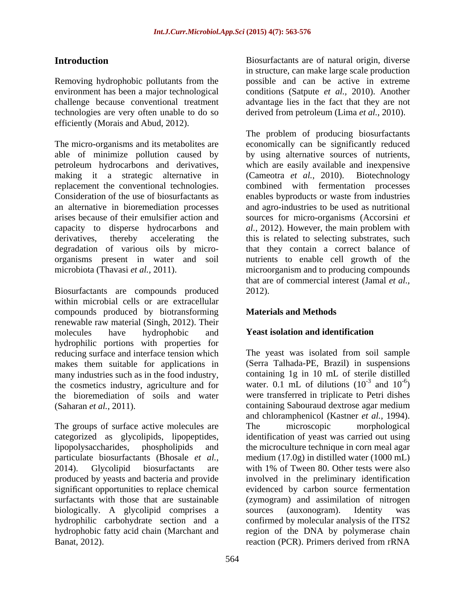Removing hydrophobic pollutants from the environment has been a major technological conditions (Satpute *et al.,* 2010). Another challenge because conventional treatment advantage lies in the fact that they are not technologies are very often unable to do so efficiently (Morais and Abud, 2012).

Biosurfactants are compounds produced within microbial cells or are extracellular compounds produced by biotransforming renewable raw material (Singh, 2012). Their molecules have hydrophobic and **Yeast isolation and identification** hydrophilic portions with properties for reducing surface and interface tension which makes them suitable for applications in many industries such as in the food industry, the cosmetics industry, agriculture and for the bioremediation of soils and water were transferred in triplicate to Petri dishes

The groups of surface active molecules are The microscopic morphological biologically. A glycolipid comprises a sources (auxonogram). Identity was

**Introduction Biosurfactants are of natural origin, diverse** in structure, can make large scale production possible and can be active in extreme derived from petroleum (Lima *et al.,* 2010).

The micro-organisms and its metabolites are economically can be significantly reduced able of minimize pollution caused by by using alternative sources of nutrients, petroleum hydrocarbons and derivatives, which are easily available and inexpensive making it a strategic alternative in (Cameotra *et al.,* 2010). Biotechnology replacement the conventional technologies. combined with fermentation processes Consideration of the use of biosurfactants as enables byproducts or waste from industries an alternative in bioremediation processes and agro-industries to be used as nutritional arises because of their emulsifier action and sources for micro-organisms (Accorsini *et*  capacity to disperse hydrocarbons and *al.,* 2012). However, the main problem with derivatives, thereby accelerating the this is related to selecting substrates, such degradation of various oils by micro- that they contain a correct balance of organisms present in water and soil nutrients to enable cell growth of the microbiota (Thavasi *et al.*, 2011). The microorganism and to producing compounds The problem of producing biosurfactants that are of commercial interest (Jamal *et al.,* 2012).

### **Materials and Methods**

### **Yeast isolation and identification**

(Saharan *et al.,* 2011). containing Sabouraud dextrose agar medium categorized as glycolipids, lipopeptides, identification of yeast was carried out using lipopolysaccharides, phospholipids and the microculture technique in corn meal agar particulate biosurfactants (Bhosale *et al.,* medium (17.0g) in distilled water (1000 mL) 2014). Glycolipid biosurfactants are with 1% of Tween 80. Other tests were also produced by yeasts and bacteria and provide involved in the preliminary identification significant opportunities to replace chemical evidenced by carbon source fermentation surfactants with those that are sustainable (zymogram) and assimilation of nitrogen hydrophilic carbohydrate section and a confirmed by molecular analysis of the ITS2 hydrophobic fatty acid chain (Marchant and region of the DNA by polymerase chain Banat, 2012). The reaction (PCR). Primers derived from rRNA The yeast was isolated from soil sample (Serra Talhada-PE, Brazil) in suspensions containing 1g in 10 mL of sterile distilled water. 0.1 mL of dilutions  $(10^{-3} \text{ and } 10^{-6})$  $-3$  and  $10^{-6}$ and  $10^{-6}$ )  $-6$ <sup>2</sup>  $)$ and chloramphenicol (Kastner *et al.,* 1994). The microscopic morphological sources (auxonogram). Identity was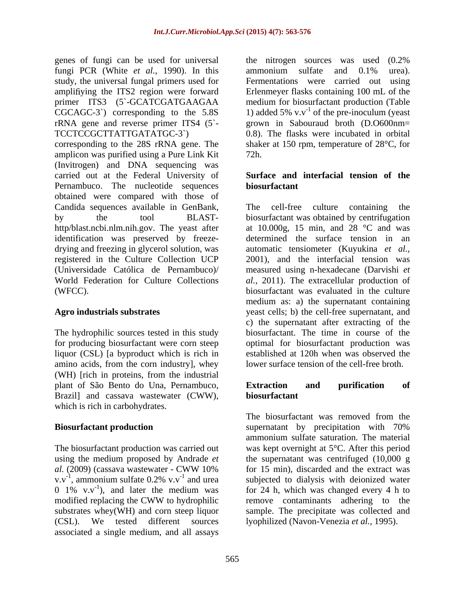genes of fungi can be used for universal fungi PCR (White *et al.,* 1990). In this study, the universal fungal primers used for amplifiying the ITS2 region were forward Erlenmeyer flasks containing 100 mL of the primer ITS3 (5`-GCATCGATGAAGAA medium for biosurfactant production (Table CGCAGC-3<sup>2</sup>) corresponding to the 5.8S 1) added 5% v.v<sup>-1</sup> of the pre-inoculum (yeast rRNA gene and reverse primer ITS4 (5`- TCCTCCGCTTATTGATATGC-3`) 0.8). The flasks were incubated in orbital corresponding to the 28S rRNA gene. The shaker at 150 rpm, temperature of 28°C, for amplicon was purified using a Pure Link Kit (Invitrogen) and DNA sequencing was

carried out at the Federal University of Pernambuco. The nucleotide sequences **biosurfactant** obtained were compared with those of Candida sequences available in GenBank, identification was preserved by freeze drying and freezing in glycerol solution, was registered in the Culture Collection UCP

liquor (CSL) [a byproduct which is rich in amino acids, from the corn industry], whey (WH) [rich in proteins, from the industrial plant of São Bento do Una, Pernambuco, Brazil] and cassava wastewater (CWW), **biosurfactant** which is rich in carbohydrates.

v.v<sup>-1</sup>, ammonium sulfate  $0.2\%$  v.v<sup>-1</sup> and urea 0 1% v.v<sup>-1</sup>), and later the medium was (CSL). We tested different sources lyophilized (Navon-Venezia *et al.,* 1995).associated a single medium, and all assays

the nitrogen sources was used (0.2% ammonium sulfate and 0.1% urea). Fermentations were carried out using grown in Sabouraud broth (D.O600nm= 72h.

### **Surface and interfacial tension of the biosurfactant**

by the tool BLAST- biosurfactant was obtained by centrifugation http/blast.ncbi.nlm.nih.gov. The yeast after at 10.000g, 15 min, and 28 °C and was (Universidade Católica de Pernambuco)/ measured using n-hexadecane (Darvishi *et*  World Federation for Culture Collections *al.,* 2011). The extracellular production of (WFCC). biosurfactant was evaluated in the culture **Agro industrials substrates**  yeast cells; b) the cell-free supernatant, and The hydrophilic sources tested in this study biosurfactant. The time in course of the for producing biosurfactant were corn steep optimal for biosurfactant production was The cell-free culture containing determined the surface tension in an automatic tensiometer (Kuyukina *et al.,* 2001), and the interfacial tension was medium as: a) the supernatant containing c) the supernatant after extracting of the established at 120h when was observed the lower surface tension of the cell-free broth.

### **Extraction and purification of biosurfactant**

**Biosurfactant production** supernation supernation by precipitation with 70% The biosurfactant production was carried out was kept overnight at 5°C. After this period using the medium proposed by Andrade *et*  the supernatant was centrifuged (10,000 g *al.* (2009) (cassava wastewater - CWW 10% for 15 min), discarded and the extract was v.v<sup>-1</sup>, ammonium sulfate  $0.2\%$  v.v<sup>-1</sup> and urea subjected to dialysis with deionized water <sup>-1</sup>), and later the medium was for 24 h, which was changed every 4 h to modified replacing the CWW to hydrophilic substrates whey(WH) and corn steep liquor sample. The precipitate was collected and The biosurfactant was removed from the supernatant by precipitation with 70% ammonium sulfate saturation. The material for 15 min), discarded and the extract was remove contaminants adhering to the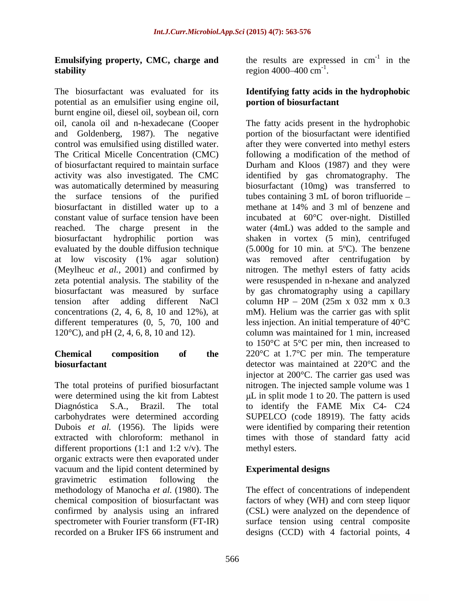## **stability** region  $4000-400 \text{ cm}^{-1}$ .

The biosurfactant was evaluated for its **Identifying fatty acids in the hydrophobic** potential as an emulsifier using engine oil, burnt engine oil, diesel oil, soybean oil, corn and Goldenberg, 1987). The negative biosurfactant in distilled water up to a methane at 14% and 3 ml of benzene and tension after adding different NaCl column HP – 20M (25m x 032 mm x 0.3)

carbohydrates were determined according different proportions (1:1 and 1:2  $v/v$ ). The methyl esters. organic extracts were then evaporated under vacuum and the lipid content determined by gravimetric estimation following the methodology of Manocha *et al.* (1980). The The effect of concentrations of independent chemical composition of biosurfactant was factors of whey (WH) and corn steep liquor confirmed by analysis using an infrared (CSL) were analyzed on the dependence of spectrometer with Fourier transform (FT-IR) surface tension using central composite

**Emulsifying property, CMC, charge and** the results are expressed in  $cm^{-1}$  in the  $-1$  in the in the region 4000–400 cm<sup>-1</sup>. region 4000–400  $cm^{-1}$ .

## **portion of biosurfactant**

oil, canola oil and n-hexadecane (Cooper The fatty acids present in the hydrophobic control was emulsified using distilled water. <br>after they were converted into methyl esters The Critical Micelle Concentration (CMC) following a modification of the method of of biosurfactant required to maintain surface Durham and Kloos (1987) and they were activity was also investigated. The CMC identified by gas chromatography. The was automatically determined by measuring biosurfactant (10mg) was transferred to the surface tensions of the purified tubescontaining 3 mL of boron trifluoride constant value of surface tension have been incubated at 60°C over-night. Distilled reached. The charge present in the water (4mL) was added to the sample and biosurfactant hydrophilic portion was shaken in vortex (5 min), centrifuged evaluated by the double diffusion technique (5.000g for 10 min. at 5ºC). The benzene at low viscosity (1% agar solution) was removed after centrifugation by (Meylheuc *et al.,* 2001) and confirmed by nitrogen. The methyl esters of fatty acids zeta potential analysis. The stability of the were resuspended in n-hexane and analyzed biosurfactant was measured by surface by gas chromatography using a capillary concentrations (2, 4, 6, 8, 10 and 12%), at mM). Helium was the carrier gas with split different temperatures (0, 5, 70, 100 and less injection. An initial temperature of 40°C 120°C), and pH (2, 4, 6, 8, 10 and 12). column was maintained for 1 min, increased **Chemical composition of the** 220°C at 1.7°C per min. The temperature **biosurfactant detector** was maintained at 220°C and the The total proteins of purified biosurfactant nitrogen. The injected sample volume was 1 were determined using the kit from Labtest  $\mu$ L in split mode 1 to 20. The pattern is used Diagnóstica S.A., Brazil. The total to identify the FAME Mix C4- C24 Dubois *et al.* (1956). The lipids were were identified by comparing their retention extracted with chloroform: methanol in times with those of standard fatty acid portion of the biosurfactant were identified methane at 14% and 3 ml of benzene and column HP  $-$  20M (25m x 032 mm x 0.3 to 150°C at 5°C per min, then increased to injector at 200°C. The carrier gas used was SUPELCO (code 18919). The fatty acids methyl esters.

### **Experimental designs**

recorded on a Bruker IFS 66 instrument and designs (CCD) with 4 factorial points, 4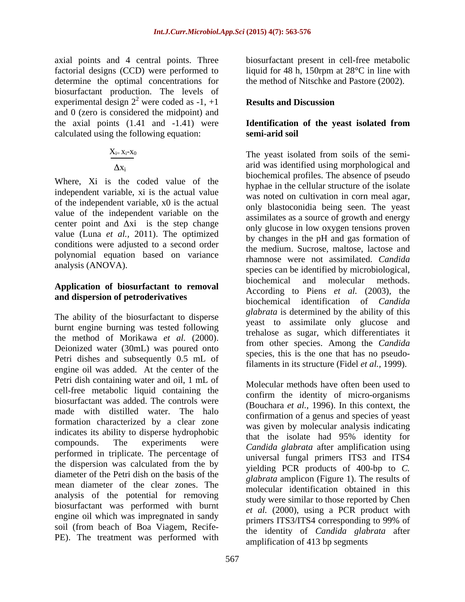axial points and 4 central points. Three biosurfactant present in cell-free metabolic factorial designs (CCD) were performed to liquid for 48 h, 150rpm at 28°C in line with determine the optimal concentrations for biosurfactant production. The levels of experimental design  $2^2$  were coded as  $-1$ ,  $+1$  Results and Discussion and 0 (zero is considered the midpoint) and the axial points (1.41 and -1.41) were **Identification of the yeast isolated from** calculated using the following equation:

$$
\frac{X_{i=}\,x_i\text{-}x_0}{\Delta x_i}
$$

Where, Xi is the coded value of the independent variable, xi is the actual value of the independent variable, x0 is the actual value of the independent variable on the center point and  $\Delta x$  is the step change value (Luna *et al.,* 2011). The optimized conditions were adjusted to a second order polynomial equation based on variance<br>analysis (ANOVA).

## **and dispersion of petroderivatives**

The ability of the biosurfactant to disperse burnt engine burning was tested following the method of Morikawa *et al.* (2000). Deionized water (30mL) was poured onto Petri dishes and subsequently 0.5 mL of engine oil was added. At the center of the Petri dish containing water and oil, 1 mL of cell-free metabolic liquid containing the biosurfactant was added. The controls were made with distilled water. The halo formation characterized by a clear zone indicates its ability to disperse hydrophobic<br>that the isolate had 95% identity for compounds. The experiments were *Candida glabrata* after amplification using performed in triplicate. The percentage of the dispersion was calculated from the by diameter of the Petri dish on the basis of the mean diameter of the clear zones. The analysis of the potential for removing biosurfactant was performed with burnt engine oil which was impregnated in sandy soil (from beach of Boa Viagem, Recife- PE). The treatment was performed with

the method of Nitschke and Pastore (2002).

### were coded as  $-1$ ,  $+1$  **Results and Discussion Results and Discussion**

# **semi-arid soil**

 $X_{i=X_i-X_0}$  The yeast isolated from soils of the semianalysis (ANOVA).<br>species can be identified by microbiological, **Application** of **biosurfactant to removal biochemical** and **molecular** methods. arid was identified using morphological and biochemical profiles. The absence of pseudo hyphae in the cellular structure of the isolate was noted on cultivation in corn meal agar, only blastoconidia being seen. The yeast assimilates as a source of growth and energy only glucose in low oxygen tensions proven by changes in the pH and gas formation of the medium. Sucrose, maltose, lactose and rhamnose were not assimilated. *Candida* biochemical and molecular According to Piens *et al.* (2003), the biochemical identification of *Candida glabrata* is determined by the ability of this yeast to assimilate only glucose and trehalose as sugar, which differentiates it from other species. Among the *Candida* species, this is the one that has no pseudofilaments in its structure (Fidel *et al.,* 1999).

> Molecular methods have often been used to confirm the identity of micro-organisms (Bouchara *et al.,* 1996). In this context, the confirmation of a genus and species of yeast was given by molecular analysis indicating that the isolate had 95% identity for universal fungal primers ITS3 and ITS4 yielding PCR products of 400-bp to *C. glabrata* amplicon (Figure 1). The results of molecular identification obtained in this study were similar to those reported by Chen *et al.* (2000), using a PCR product with primers ITS3/ITS4 corresponding to 99% of the identity of *Candida glabrata* after amplification of 413 bp segments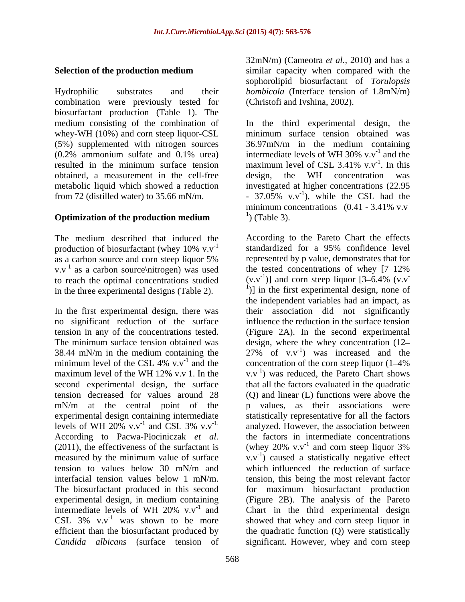Hydrophilic substrates and their *bombicola* (Interface tension of 1.8mN/m) combination were previously tested for biosurfactant production (Table 1). The whey-WH (10%) and corn steep liquor-CSL (5%) supplemented with nitrogen sources  $36.97 \text{mN/m}$  in the medium containing (0.2% ammonium sulfate and 0.1% urea) intermediate levels of WH 30% v.v<sup>-1</sup> and the resulted in the minimum surface tension maximum level of CSL 3.41%  $v.v^{-1}$ . In this obtained, a measurement in the cell-free

production of biosurfactant (whey  $10\%$  v.v<sup>-1</sup> standardized for a 95% confidence level as a carbon source and corn steep liquor 5%  $v.v^{-1}$  as a carbon source nitrogen) was used to reach the optimal concentrations studied in the three experimental designs (Table 2).

In the first experimental design, there was no significant reduction of the surface second experimental design, the surface mN/m at the central point of the experimental design containing intermediate levels of WH 20%  $v.v^{-1}$  and CSL 3%  $v.v^{-1}$ . measured by the minimum value of surface *Candida albicans* (surface tension of significant. However, whey and corn steep

**Selection of the production medium** similar capacity when compared with the 32mN/m) (Cameotra *et al.,* 2010) and has a similar capacity when compared with the sophorolipid biosurfactant of *Torulopsis*  (Christofi and Ivshina, 2002).

medium consisting of the combination of In the third experimental design, the  $(0.2\%$  ammonium sulfate and 0.1% urea) intermediate levels of WH 30% v.v<sup>-1</sup> and the metabolic liquid which showed a reduction investigated at higher concentrations (22.95 from 72 (distilled water) to 35.66 mN/m.  $\qquad \qquad$  - 37.05% v.v<sup>-1</sup>), while the CSL had the **Optimization of the production medium**  $\qquad$  (Table 3). minimum surface tension obtained was 36.97mN/m in the medium containing intermediate levels of WH 30%  $v.v^{-1}$  and the  $-1$  and the and the maximum level of CSL 3.41%  $v.v^{-1}$ . In this  $-1$  In this . In this design, the WH concentration was ), while the CSL had the minimum concentrations  $(0.41 - 3.41\% \text{ v.v}^{-1})$  (Table 3). ) (Table 3).

The medium described that induced the According to the Pareto Chart the effects production of biosurfactant (whey  $10\%$  v.v<sup>-1</sup> standardized for a 95% confidence level <sup>-1</sup> as a carbon source\nitrogen) was used the tested concentrations of whey  $[7-12\%$ tension in any of the concentrations tested. (Figure 2A). In the second experimental The minimum surface tension obtained was design, where the whey concentration (12 38.44 mN/m in the medium containing the  $27\%$  of v.v<sup>-1</sup>) was increased and the minimum level of the CSL 4%  $v.v^{-1}$  and the concentration of the corn steep liquor (1–4%) maximum level of the WH 12% v.v<sup>-1</sup>. In the v.v<sup>-1</sup> was reduced, the Pareto Chart shows 1. In the  $v.v^{-1}$ ) was reduced, the Pareto Chart shows tension decreased for values around 28 (Q) and linear (L) functions were above the <sup>-1</sup> and CSL 3% v.v<sup>-1.</sup> analyzed. However, the association between According to Pacwa-Płociniczak *et al.* the factors in intermediate concentrations (2011), the effectiveness of the surfactant is (whey 20% v.v<sup>-1</sup> and corn steep liquor 3%) tension to values below 30 mN/m and which influenced the reduction of surface interfacial tension values below 1 mN/m. tension, this being the most relevant factor The biosurfactant produced in this second for maximum biosurfactant production experimental design, in medium containing (Figure 2B). The analysis of the Pareto intermediate levels of WH 20%  $v.v^{-1}$  and Chart in the third experimental design CSL  $3\%$  v.v<sup>-1</sup> was shown to be more showed that whey and corn steep liquor in efficient than the biosurfactant produced by the quadratic function (Q) were statistically standardized for a 95% confidence level represented by p value, demonstrates that for  $(v.v^{-1})$ ] and corn steep liquor [3–6.4% (v.v] )] and corn steep liquor  $[3-6.4\%$  (v.v **-** Construction of the construction <sup>1</sup>)] in the first experimental design, none of the independent variables had an impact, as their association did not significantly influence the reduction in the surface tension that all the factors evaluated in the quadratic values, as their associations were statistically representative for all the factors and corn steep liquor 3%  $(v.v^{-1})$  caused a statistically negative effect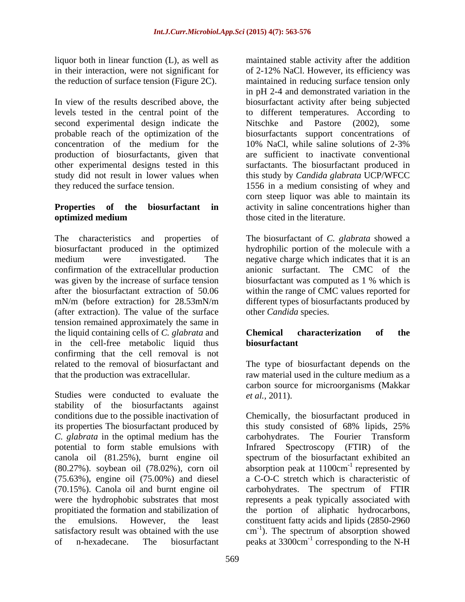the reduction of surface tension (Figure 2C).

In view of the results described above, the biosurfactant activity after being subjected levels tested in the central point of the second experimental design indicate the Nitschke and Pastore (2002), some probable reach of the optimization of the biosurfactants support concentrations of concentration of the medium for the 10% NaCl, while saline solutions of 2-3% production of biosurfactants, given that are sufficient to inactivate conventional other experimental designs tested in this surfactants. The biosurfactant produced in study did not result in lower values when this study by *Candida glabrata* UCP/WFCC

## **optimized medium** those cited in the literature.

The characteristics and properties of The biosurfactant of *C. glabrata* showed a biosurfactant produced in the optimized hydrophilic portion of the molecule with a medium were investigated. The negative charge which indicates that it is an confirmation of the extracellular production was given by the increase of surface tension<br>after the biosurfactant extraction of 50.06 within the range of CMC values reported for after the biosurfactant extraction of 50.06 within the range of CMC values reported for mN/m (before extraction) for 28.53mN/m different types of biosurfactants produced by (after extraction). The value of the surface tension remained approximately the same in the liquid containing cells of *C. glabrata* and in the cell-free metabolic liquid thus confirming that the cell removal is not related to the removal of biosurfactant and The type of biosurfactant depends on the that the production was extracellular. raw material used in the culture medium as a

Studies were conducted to evaluate the *et al.*, 2011). stability of the biosurfactants against conditions due to the possible inactivation of Chemically, the biosurfactant produced in its properties The biosurfactant produced by this study consisted of 68% lipids, 25% *C. glabrata* in the optimal medium has the potential to form stable emulsions with Infrared Spectroscopy (FTIR) of the canola oil (81.25%), burnt engine oil spectrum of the biosurfactant exhibited an  $(80.27%)$ . soybean oil  $(78.02%)$ , corn oil absorption peak at  $1100 \text{cm}^{-1}$  represented by (75.63%), engine oil (75.00%) and diesel (70.15%). Canola oil and burnt engine oil carbohydrates. The spectrum of FTIR were the hydrophobic substrates that most represents a peak typically associated with propitiated the formation and stabilization of the portion of aliphatic hydrocarbons, the emulsions. However, the least constituent fatty acids and lipids (2850-2960 satisfactory result was obtained with the use  $\text{cm}^{-1}$ ). The spectrum of absorption showed of n-hexadecane. The biosurfactant peaks at 3300cm<sup>-1</sup> corresponding to the N-H

liquor both in linear function (L), as well as maintained stable activity after the addition in their interaction, were not significant for of 2-12% NaCl. However, its efficiency was they reduced the surface tension. 1556 in a medium consisting of whey and **Properties** of the **biosurfactant** in activity in saline concentrations higher than maintained in reducing surface tension only in pH 2-4 and demonstrated variation in the to different temperatures. According to Nitschke and Pastore (2002), 10% NaCl, while saline solutions of 2-3% corn steep liquor was able to maintain its those cited in the literature.

> anionic surfactant. The CMC of the biosurfactant was computed as 1 % which is other *Candida* species.

### **Chemical characterization of the biosurfactant**

carbon source for microorganisms (Makkar *et al.,* 2011).

this study consisted of 68% lipids, 25% carbohydrates. The Fourier Transform represented by a C-O-C stretch which is characteristic of ). The spectrum of absorption showed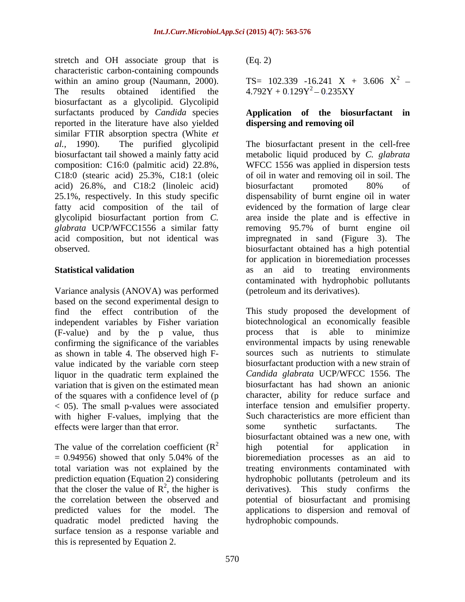stretch and OH associate group that is (Eq. 2) characteristic carbon-containing compounds<br>within an amino group (Naumann, 2000). TS= 102.339 -16.241 X + 3.606  $X^2$  within an amino group (Naumann, 2000). The results obtained identified the  $4.792Y + 0.129Y^2 - 0.235XY$ biosurfactant as a glycolipid. Glycolipid surfactants produced by *Candida* species **Application of the biosurfactant in** reported in the literature have also yielded similar FTIR absorption spectra (White *et al.,* 1990). The purified glycolipid The biosurfactant present in the cell-free biosurfactant tail showed a mainly fatty acid metabolic liquid produced by *C. glabrata* composition: C16:0 (palmitic acid) 22.8%, WFCC 1556 was applied in dispersion tests C18:0 (stearic acid) 25.3%, C18:1 (oleic acid) 26.8%, and C18:2 (linoleic acid) 25.1%, respectively. In this study specific dispensability of burnt engine oil in water fatty acid composition of the tail of evidenced by the formation of large clear glycolipid biosurfactant portion from *C.*  area inside the plate and is effective in *glabrata* UCP/WFCC1556 a similar fatty removing 95.7% of burnt engine oil acid composition, but not identical was impregnated in sand (Figure 3). The observed. biosurfactant obtained has a high potential

Variance analysis (ANOVA) was performed based on the second experimental design to find the effect contribution of the (F-value) and by the p value, thus confirming the significance of the variables as shown in table 4. The observed high F value indicated by the variable corn steep liquor in the quadratic term explained the variation that is given on the estimated mean of the squares with a confidence level of (p with higher F-values, implying that the effects were larger than that error. Some synthetic surfactants. The

The value of the correlation coefficient  $(R^2)$  high potential for application in quadratic model predicted having the surface tension as a response variable and this is represented by Equation 2.

 $(Eq. 2)$ 

 $TS = 102.339 -16.241$   $X + 3.606$   $X^2$  – 2  $4.792Y + 0.129Y^2 - 0.235XY$ 

## **dispersing and removing oil**

**Statistical validation** as an aid to treating environments of oil in water and removing oil in soil. The biosurfactant promoted 80% of for application in bioremediation processes contaminated with hydrophobic pollutants (petroleum and its derivatives).

independent variables by Fisher variation biotechnological an economically feasible < 05). The small p-values were associated interface tension and emulsifier property.  $\frac{2}{2}$  high notation for employees in = 0.94956) showed that only 5.04% of the total variation was not explained by the treating environments contaminated with prediction equation (Equation 2) considering hydrophobic pollutants (petroleum and its that the closer the value of  $\mathbb{R}^2$ , the higher is derivatives). This study confirms the the correlation between the observed and potential of biosurfactant and promising predicted values for the model. The applications to dispersion and removal of This study proposed the development of process that is able to minimize environmental impacts by using renewable sources such as nutrients to stimulate biosurfactant production with a new strain of *Candida glabrata* UCP/WFCC 1556. The biosurfactant has had shown an anionic character, ability for reduce surface and Such characteristics are more efficient than some synthetic surfactants. The biosurfactant obtained was a new one, with high potential for application in bioremediation processes as an aid to hydrophobic compounds.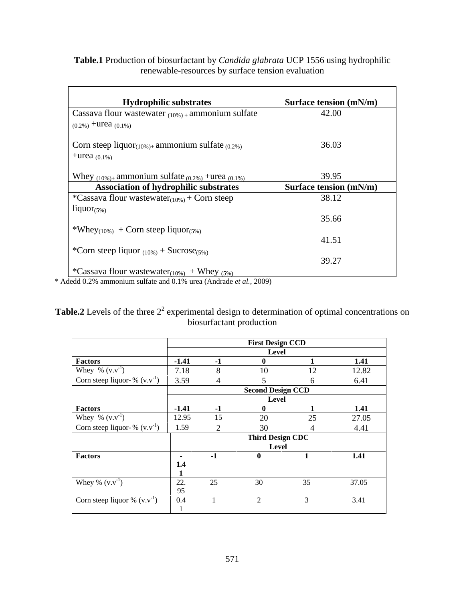**Table.1** Production of biosurfactant by *Candida glabrata* UCP 1556 using hydrophilic renewable-resources by surface tension evaluation

| <b>Hydrophilic substrates</b>                                      | <b>Surface tension (mN/m)</b> |
|--------------------------------------------------------------------|-------------------------------|
| Cassava flour wastewater $_{(10\%)}$ ammonium sulfate              | 42.00                         |
| $(0.2\%)$ +urea $(0.1\%)$                                          |                               |
| Corn steep liquor $_{(10\%)+}$ ammonium sulfate $_{(0.2\%)}$       | 36.03                         |
|                                                                    |                               |
| +urea $(0.1\%)$                                                    |                               |
| Whey $_{(10\%)+}$ ammonium sulfate $_{(0.2\%)}$ +urea $_{(0.1\%)}$ | 39.95                         |
| <b>Association of hydrophilic substrates</b>                       | <b>Surface tension (mN/m)</b> |
| *Cassava flour wastewater $_{(10\%)}$ + Corn steep                 | 38.12                         |
| liquor $(5%)$                                                      |                               |
|                                                                    | 35.66                         |
| *Whey <sub>(10%)</sub> + Corn steep liquor <sub>(5%)</sub>         |                               |
|                                                                    | 41.51                         |
| *Corn steep liquor $_{(10\%)}$ + Sucrose <sub>(5%)</sub>           |                               |
|                                                                    | 39.27                         |
| *Cassava flour wastewater <sub>(10%)</sub> + Whey (5%)             |                               |

\* Adedd 0.2% ammonium sulfate and 0.1% urea (Andrade *et al.,* 2009)

**Table.2** Levels of the three  $2<sup>2</sup>$  experimental design to determination of optimal concentrations on biosurfactant production

|                                   | <b>First Design CCD</b> |     |                          |    |       |
|-----------------------------------|-------------------------|-----|--------------------------|----|-------|
|                                   |                         |     | Level                    |    |       |
| <b>Factors</b>                    | $-1.41$                 |     |                          |    | 1.41  |
| Whey % $(v.v^{-1})$               | 7.18                    |     |                          | 12 | 12.82 |
| Corn steep liquor- % $(v.v^{-1})$ | 3.59                    |     |                          |    | 6.41  |
|                                   |                         |     | <b>Second Design CCD</b> |    |       |
|                                   |                         |     | Level                    |    |       |
| <b>Factors</b>                    | $-1.41$                 |     |                          |    | 1.41  |
| Whey % $(v.v^{-1})$               | 12.95                   |     |                          |    | 27.05 |
| Corn steep liquor- % $(v.v^{-1})$ | 1.59                    |     |                          |    | 4.41  |
|                                   |                         |     | <b>Third Design CDC</b>  |    |       |
|                                   |                         |     | Level                    |    |       |
| Factors                           |                         |     |                          |    | 1.41  |
|                                   |                         |     |                          |    |       |
|                                   |                         |     |                          |    |       |
| Whey % $(v.v^{-1})$               | 22.                     | -25 | 30                       | 35 | 37.05 |
|                                   | $\Omega$                |     |                          |    |       |
| Corn steep liquor % $(v.v^{-1})$  | 0.4                     |     |                          |    | 3.41  |
|                                   |                         |     |                          |    |       |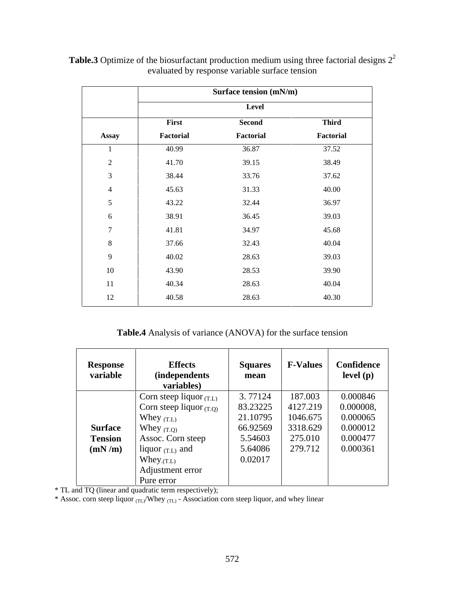|                            | Surface tension (mN/m) |           |              |
|----------------------------|------------------------|-----------|--------------|
|                            |                        | Level     |              |
|                            | First                  | Second    | <b>Third</b> |
| <b>Assay</b>               | Factorial              | Factorial | Factorial    |
|                            | 40.99                  | 36.87     | 37.52        |
| $\gamma$<br>$\overline{L}$ | 41.70                  | 39.15     | 38.49        |
| $\mathcal{R}$              | 38.44                  | 33.76     | 37.62        |
| 4                          | 45.63                  | 31.33     | 40.00        |
|                            | 43.22                  | 32.44     | 36.97        |
| 6                          | 38.91                  | 36.45     | 39.03        |
|                            | 41.81                  | 34.97     | 45.68        |
| $8\,$                      | 37.66                  | 32.43     | 40.04        |
| $\mathbf{Q}$               | 40.02                  | 28.63     | 39.03        |
| 10                         | 43.90                  | 28.53     | 39.90        |
| 11                         | 40.34                  | 28.63     | 40.04        |
| 12                         | 40.58                  | 28.63     | 40.30        |

**Table.3** Optimize of the biosurfactant production medium using three factorial designs  $2^2$  evaluated by response variable surface tension

**Table.4** Analysis of variance (ANOVA) for the surface tension

| <b>Response</b><br>variable | <b>Effects</b><br><i>(independents)</i><br>variables) | Squares<br>mean | <b>F-Values</b> | Confidence<br>level (p) |
|-----------------------------|-------------------------------------------------------|-----------------|-----------------|-------------------------|
|                             | Corn steep liquor $(T.L)$                             | 3.77124         | 187.003         | 0.000846                |
|                             | Corn steep liquor $(T.Q)$                             | 83.23225        | 4127.219        | 0.000008,               |
|                             | Whey $(T.L)$                                          | 21.10795        | 1046.675        | 0.000065                |
| <b>Surface</b>              | Whey $(T.Q)$                                          | 66.92569        | 3318.629        | 0.000012                |
| <b>Tension</b>              | Assoc. Corn steep                                     | 5.54603         | 275.010         | 0.000477                |
| (mN/m)                      | liquor $(T.L)$ and                                    | 5.64086         | 279.712         | 0.000361                |
|                             | $W$ hey $_{\rm (T.L)}$                                | 0.02017         |                 |                         |
|                             | Adjustment error                                      |                 |                 |                         |
|                             | Pure error                                            |                 |                 |                         |

\* TL and TQ (linear and quadratic term respectively);

\* Assoc. corn steep liquor <sub>(TL)</sub>/Whey <sub>(TL)</sub> - Association corn steep liquor, and whey linear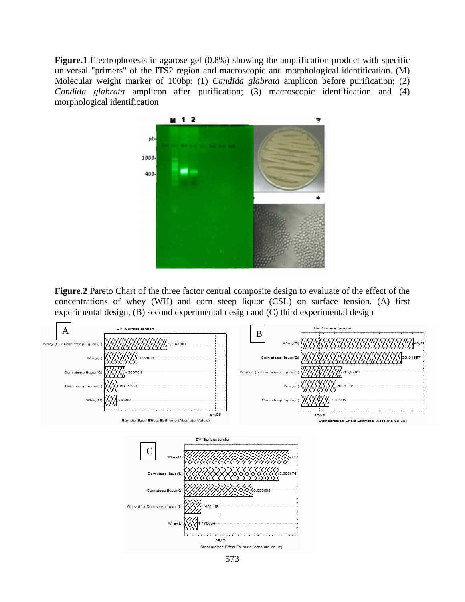**Figure.1** Electrophoresis in agarose gel (0.8%) showing the amplification product with specific universal "primers" of the ITS2 region and macroscopic and morphological identification. (M) Molecular weight marker of 100bp; (1) *Candida glabrata* amplicon before purification; (2) *Candida glabrata* amplicon after purification; (3) macroscopic identification and (4) morphological identification



**Figure.2** Pareto Chart of the three factor central composite design to evaluate of the effect of the concentrations of whey (WH) and corn steep liquor (CSL) on surface tension. (A) first experimental design, (B) second experimental design and (C) third experimental design

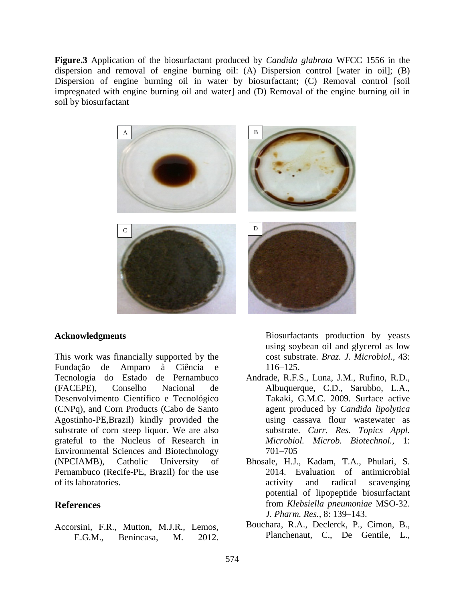**Figure.3** Application of the biosurfactant produced by *Candida glabrata* WFCC 1556 in the dispersion and removal of engine burning oil: (A) Dispersion control [water in oil]; (B) Dispersion of engine burning oil in water by biosurfactant; (C) Removal control [soil impregnated with engine burning oil and water] and (D) Removal of the engine burning oil in soil by biosurfactant



This work was financially supported by the Fundação de Amparo à Ciência e Tecnologia do Estado de Pernambuco (FACEPE), Conselho Nacional de Albuquerque, C.D., Sarubbo, L.A., Desenvolvimento Científico e Tecnológico (CNPq), and Corn Products (Cabo de Santo Agostinho-PE,Brazil) kindly provided the substrate of corn steep liquor. We are also substrate. Curr. Res. Topics Appl. grateful to the Nucleus of Research in *Microbiol. Microb. Biotechnol.*, 1: Environmental Sciences and Biotechnology (NPCIAMB), Catholic University of Bhosale, H.J., Kadam, T.A., Phulari, S. Pernambuco (Recife-PE, Brazil) for the use of its laboratories. The activity and radical scavenging **EXECT MONUMERY AND MONUMERY CONSUGNATES (SOME AND ANOTEST SURFACT AND ANOTEST AND A CHONGLA OF THE CHONGLA ASSACT AND A CHONGLA CHONGLA CHONGLA (R.F.S., Luna, J.M., Rufino, R.D., Jongela do Estado de Pernanbuco Andrade, R** 

**Acknowledgments Acknowledgments Acknowledgments Acknowledgments Acknowledgments Acknowledgments Acknowledgments Acknowledgments Acknowledgments Acknowledgements Acknowledgements Acknowledgements Ac** using soybean oil and glycerol as low cost substrate. *Braz. J. Microbiol.,* 43: 116–125.

- Andrade, R.F.S., Luna, J.M., Rufino, R.D., Takaki, G.M.C. 2009. Surface active agent produced by *Candida lipolytica* using cassava flour wastewater as substrate. *Curr. Res. Topics Appl. Microbiol. Microb. Biotechnol.,* 1: 701 705
- **References** from *Klebsiella pneumoniae* MSO-32. 2014. Evaluation of antimicrobial activity and radical scavenging potential of lipopeptide biosurfactant *J. Pharm. Res., 8:* 139-143.
- Accorsini, F.R., Mutton, M.J.R., Lemos, Bouchara, R.A., Declerck, P., Cimon, B., F.G.M. Benincasa M. 2012 Planchenaut, C., De Gentile, L., Bouchara, R.A., Declerck, P., Cimon, B.,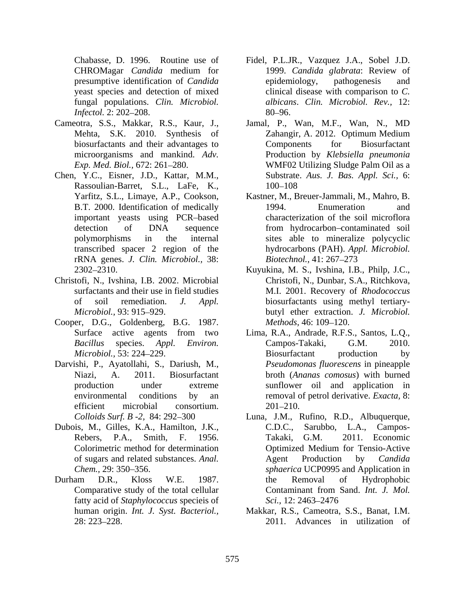fungal populations. *Clin. Microbiol.*

- 
- Chen, Y.C., Eisner, J.D., Kattar, M.M., Rassoulian-Barret, S.L., LaFe, K., rRNA genes. *J. Clin. Microbiol.,* 38:
- Christofi, N., Ivshina, I.B. 2002. Microbial
- Cooper, D.G., Goldenberg, B.G. 1987.
- Darvishi, P., Ayatollahi, S., Dariush, M.,
- 
- fatty acid of *Staphylococcus* specieis of
- Chabasse, D. 1996. Routine use of Fidel, P.L.JR., Vazquez J.A., Sobel J.D. CHROMagar *Candida* medium for presumptive identification of *Candida* epidemiology, pathogenesis and yeast species and detection of mixed clinical disease with comparison to *C. Infectol.* 2: 202–208. 80–96. 1999. *Candida glabrata*: Review of epidemiology, pathogenesis and *albicans*. *Clin. Microbiol. Rev.,* 12: 80–96. In the same state of the same state of the same state of the same state of the same state of the same s
- Cameotra, S.S., Makkar, R.S., Kaur, J., Jamal, P., Wan, M.F., Wan, N., MD Mehta, S.K. 2010. Synthesis of Zahangir, A. 2012. Optimum Medium biosurfactants and their advantages to microorganisms and mankind. *Adv.*  Production by *Klebsiella pneumonia* Exp. Med. Biol., 672: 261–280. WMF02 Utilizing Sludge Palm Oil as a Zahangir, A. 2012. Optimum Medium Components for Biosurfactant Substrate. *Aus. J. Bas. Appl. Sci.,* 6: 100–108
	- Yarfitz, S.L., Limaye, A.P., Cookson, Kastner, M., Breuer-Jammali, M., Mahro, B. B.T. 2000. Identification of medically 1994. Enumeration and important yeasts using PCR based characterization of the soil microflora detection of DNA sequence from hydrocarbon contaminated soil polymorphisms in the internal sites able to mineralize polycyclic transcribed spacer 2 region of the hydrocarbons (PAH). *Appl. Microbiol.* 1994. Enumeration and *Biotechnol.,* 41: 267–273
	- 2302 2310. Kuyukina, M. S., Ivshina, I.B., Philp, J.C., surfactants and their use in field studies M.I. 2001. Recovery of *Rhodococcus* of soil remediation. *J. Appl.* biosurfactants using methyl tertiary- *Microbiol.,* 93: 915 929. butyl ether extraction. *J. Microbiol.* Christofi, N., Dunbar, S.A., Ritchkova, *Methods,* 46: 109–120.
	- Surface active agents from two Lima, R.A., Andrade, R.F.S., Santos, L.Q., *Bacillus* species. *Appl. Environ. Microbiol.,* 53: 224–229. **Biosurfactant production** by Niazi, A. 2011. Biosurfactant broth (*Ananas comosus*) with burned production under extreme sunflower oil and application in environmental conditions by an removal of petrol derivative. *Exacta*, 8: efficient microbial consortium. 201–210. Campos-Takaki, G.M. 2010. Biosurfactant production by *Pseudomonas fluorescens* in pineapple 201–210.
- Colloids Surf. B -2, 84: 292–300 Luna, J.M., Rufino, R.D., Albuquerque, Dubois, M., Gilles, K.A., Hamilton, J.K., C.D.C., Sarubbo, L.A., Campos-Rebers, P.A., Smith, F. 1956. Takaki, G.M. 2011. Economic Colorimetric method for determination of sugars and related substances. *Anal. Chem.,* 29: 350 356. *sphaerica* UCP0995 and Application in Durham D.R., Kloss W.E. 1987. Comparative study of the total cellular Contaminant from Sand. Int. J. Mol. C.D.C., Sarubbo, L.A., Campos- Takaki, G.M. 2011. Economic Optimized Medium for Tensio-Active Agent Production by *Candida*  the Removal of Hydrophobic Contaminant from Sand. *Int. J. Mol. Sci.,* 12: 2463–2476
	- human origin. *Int. J. Syst. Bacteriol.,* Makkar, R.S., Cameotra, S.S., Banat, I.M. 28: 223 228. 2011. Advances in utilization of